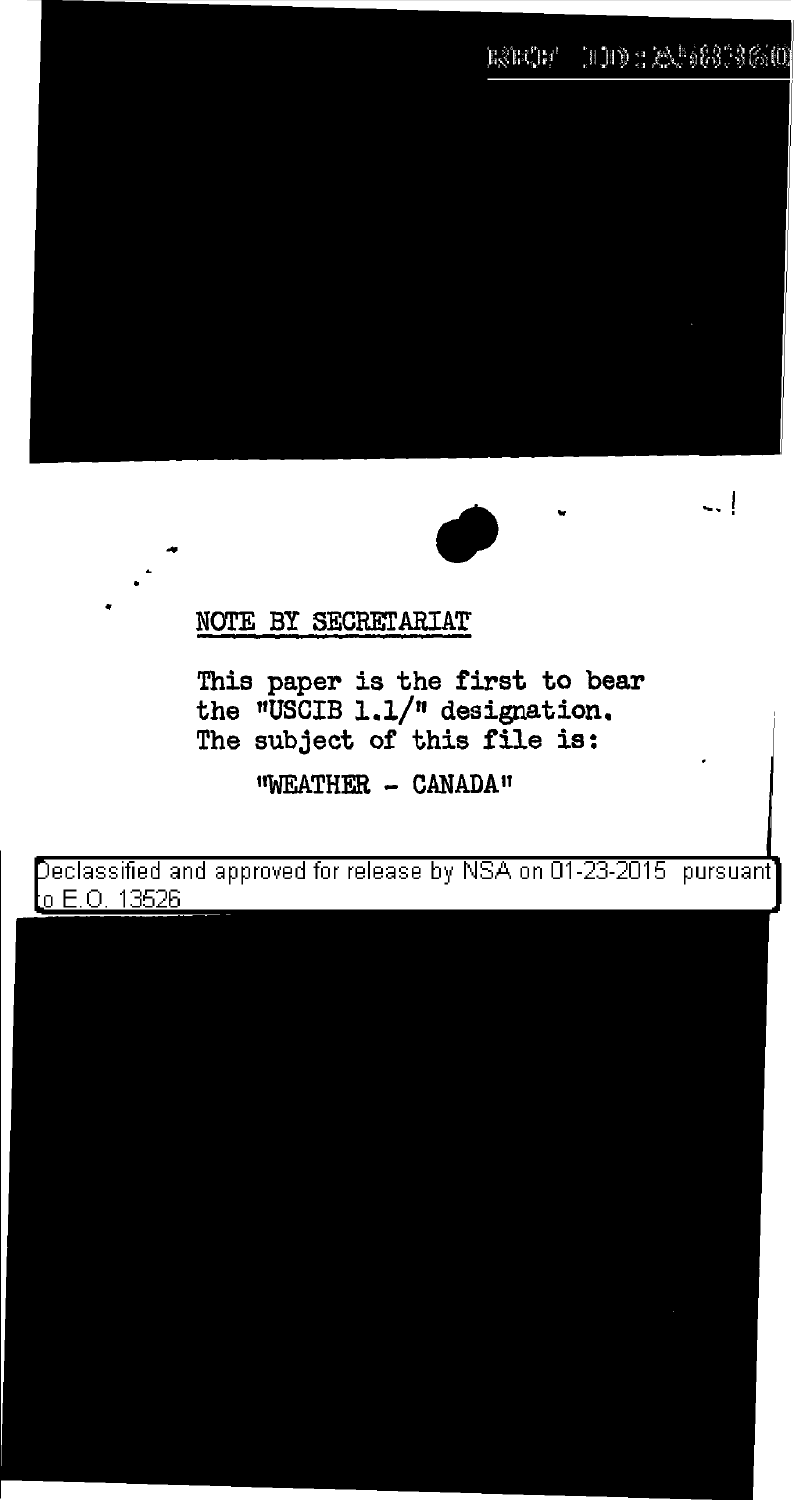## ESECE HID : 22 583 3600



ا ..

## NOTE BY SECRETARIAT

This paper is the first to bear the  $\sqrt{n}$ USCIB 1.1/ $\sqrt{n}$  designation. The subject of this file is:

<sup>11</sup>WEATHER - CANADA II

Declassified and approved for release by NSA on 01-23-2015  $\,$  pursuant  $\,$ o E.O. 13526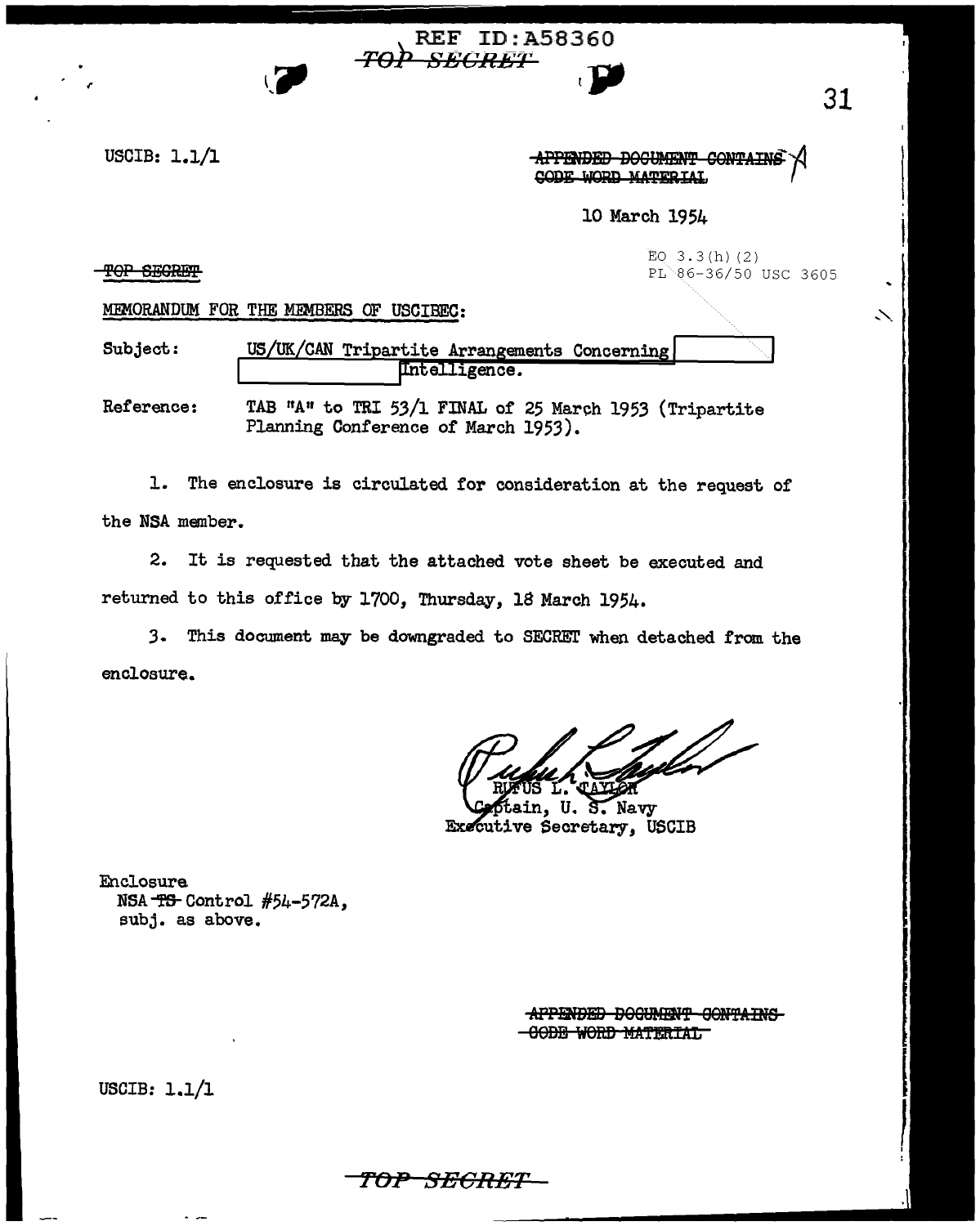USCIB: 1.1/l

APPENDED DOCUMENT CONTAINS CODE WORD MATERIAL

10 March 1954

TOP SEGRET

EQ  $3.3(h)$  (2) PL 86-36/50 USC 3605

MEMORANDUM FOR THE MEMBERS OF USCIBEC:

Subject: US/UK/CAN Tripartite Arrangements Concerning Intelligence.

REF ID:A58360

ro}> *BEOR-ET* , }JI

Reference: TAB "A" to TRI 53/l FINAL of 25 March 1953 (Tripartite Planning Conference of March 1953).

1. The enclosure is circulated for consideration at the request of the NSA member.

2. It is requested that the attached vote sheet be executed and returned to this office by 1700, Thursday, 18 March 1954.

*3.* This document may be downgraded to SECREI' when detached from the enclosure.

n. U. S. Navy Executive Secretary, USCIB

Enclosure NSA-fS-Control #54-572A, subj. as above.

> APPENDED DOGUMENT GONTAINS -GODE WORD MATERIAL

USCIB: 1.1/1

31